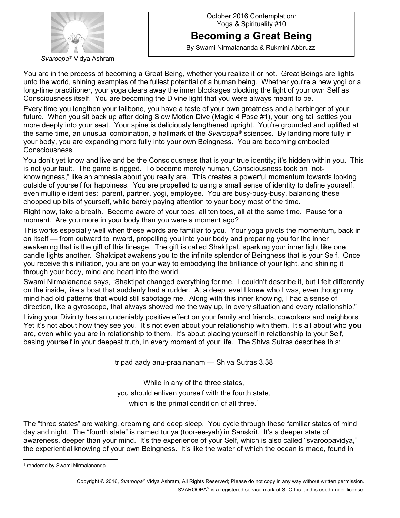

## **Becoming a Great Being**

By Swami Nirmalananda & Rukmini Abbruzzi

You are in the process of becoming a Great Being, whether you realize it or not. Great Beings are lights unto the world, shining examples of the fullest potential of a human being. Whether you're a new yogi or a long-time practitioner, your yoga clears away the inner blockages blocking the light of your own Self as Consciousness itself. You are becoming the Divine light that you were always meant to be.

Every time you lengthen your tailbone, you have a taste of your own greatness and a harbinger of your future. When you sit back up after doing Slow Motion Dive (Magic 4 Pose #1), your long tail settles you more deeply into your seat. Your spine is deliciously lengthened upright. You're grounded and uplifted at the same time, an unusual combination, a hallmark of the *Svaroopa®* sciences. By landing more fully in your body, you are expanding more fully into your own Beingness. You are becoming embodied Consciousness.

You don't yet know and live and be the Consciousness that is your true identity; it's hidden within you. This is not your fault. The game is rigged. To become merely human, Consciousness took on "notknowingness," like an amnesia about you really are. This creates a powerful momentum towards looking outside of yourself for happiness. You are propelled to using a small sense of identity to define yourself, even multiple identities: parent, partner, yogi, employee. You are busy-busy-busy, balancing these chopped up bits of yourself, while barely paying attention to your body most of the time.

Right now, take a breath. Become aware of your toes, all ten toes, all at the same time. Pause for a moment. Are you more in your body than you were a moment ago?

This works especially well when these words are familiar to you. Your yoga pivots the momentum, back in on itself — from outward to inward, propelling you into your body and preparing you for the inner awakening that is the gift of this lineage. The gift is called Shaktipat, sparking your inner light like one candle lights another. Shaktipat awakens you to the infinite splendor of Beingness that is your Self. Once you receive this initiation, you are on your way to embodying the brilliance of your light, and shining it through your body, mind and heart into the world.

Swami Nirmalananda says, "Shaktipat changed everything for me. I couldn't describe it, but I felt differently on the inside, like a boat that suddenly had a rudder. At a deep level I knew who I was, even though my mind had old patterns that would still sabotage me. Along with this inner knowing, I had a sense of direction, like a gyroscope, that always showed me the way up, in every situation and every relationship." Living your Divinity has an undeniably positive effect on your family and friends, coworkers and neighbors. Yet it's not about how they see you. It's not even about your relationship with them. It's all about who **you** are, even while you are in relationship to them. It's about placing yourself in relationship to your Self, basing yourself in your deepest truth, in every moment of your life. The Shiva Sutras describes this:

tripad aady anu-praa.nanam — Shiva Sutras 3.38

While in any of the three states, you should enliven yourself with the fourth state, which is the primal condition of all three.<sup>1</sup>

The "three states" are waking, dreaming and deep sleep. You cycle through these familiar states of mind day and night. The "fourth state" is named turiya (toor-ee-yah) in Sanskrit. It's a deeper state of awareness, deeper than your mind. It's the experience of your Self, which is also called "svaroopavidya," the experiential knowing of your own Beingness. It's like the water of which the ocean is made, found in

<sup>&</sup>lt;sup>1</sup> rendered by Swami Nirmalananda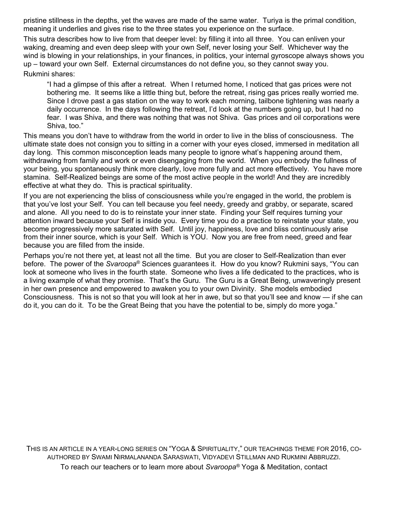pristine stillness in the depths, yet the waves are made of the same water. Turiya is the primal condition, meaning it underlies and gives rise to the three states you experience on the surface.

This sutra describes how to live from that deeper level: by filling it into all three. You can enliven your waking, dreaming and even deep sleep with your own Self, never losing your Self. Whichever way the wind is blowing in your relationships, in your finances, in politics, your internal gyroscope always shows you up – toward your own Self. External circumstances do not define you, so they cannot sway you.

Rukmini shares:

"I had a glimpse of this after a retreat. When I returned home, I noticed that gas prices were not bothering me. It seems like a little thing but, before the retreat, rising gas prices really worried me. Since I drove past a gas station on the way to work each morning, tailbone tightening was nearly a daily occurrence. In the days following the retreat, I'd look at the numbers going up, but I had no fear. I was Shiva, and there was nothing that was not Shiva. Gas prices and oil corporations were Shiva, too."

This means you don't have to withdraw from the world in order to live in the bliss of consciousness. The ultimate state does not consign you to sitting in a corner with your eyes closed, immersed in meditation all day long. This common misconception leads many people to ignore what's happening around them, withdrawing from family and work or even disengaging from the world. When you embody the fullness of your being, you spontaneously think more clearly, love more fully and act more effectively. You have more stamina. Self-Realized beings are some of the most active people in the world! And they are incredibly effective at what they do. This is practical spirituality.

If you are not experiencing the bliss of consciousness while you're engaged in the world, the problem is that you've lost your Self. You can tell because you feel needy, greedy and grabby, or separate, scared and alone. All you need to do is to reinstate your inner state. Finding your Self requires turning your attention inward because your Self is inside you. Every time you do a practice to reinstate your state, you become progressively more saturated with Self. Until joy, happiness, love and bliss continuously arise from their inner source, which is your Self. Which is YOU. Now you are free from need, greed and fear because you are filled from the inside.

Perhaps you're not there yet, at least not all the time. But you are closer to Self-Realization than ever before. The power of the *Svaroopa*® Sciences guarantees it. How do you know? Rukmini says, "You can look at someone who lives in the fourth state. Someone who lives a life dedicated to the practices, who is a living example of what they promise. That's the Guru. The Guru is a Great Being, unwaveringly present in her own presence and empowered to awaken you to your own Divinity. She models embodied Consciousness. This is not so that you will look at her in awe, but so that you'll see and know — if she can do it, you can do it. To be the Great Being that you have the potential to be, simply do more yoga."

THIS IS AN ARTICLE IN A YEAR-LONG SERIES ON "YOGA & SPIRITUALITY," OUR TEACHINGS THEME FOR 2016, CO-AUTHORED BY SWAMI NIRMALANANDA SARASWATI, VIDYADEVI STILLMAN AND RUKMINI ABBRUZZI. To reach our teachers or to learn more about *Svaroopa®* Yoga & Meditation, contact